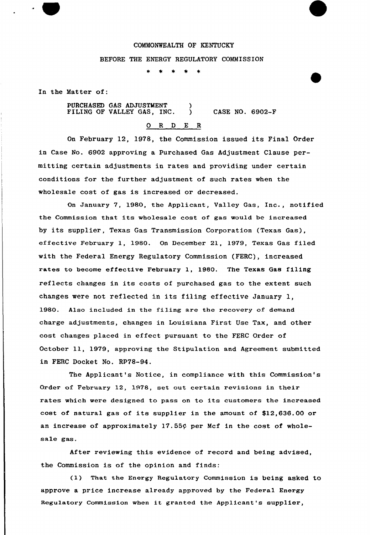#### COMMONWEALTH OF KENTUCKY

### BEFORE THE ENERGY REGULATORY COMMISSION

In the Matter of:

PURCHASED GAS ADJUSTMENT )<br>FILING OF VALLEY GAS. INC. FILING OF VALLEY GAS, INC.  $\bigcirc$  CASE NO. 6902-F

# 0 <sup>R</sup> <sup>D</sup> E R

On February 12, 1978, the Commission issued its Final Order in Case No. 6902 approving a Purchased Gas Adjustment Clause permitting certain adjustments in rates and providing under certain conditions for the further adjustment of such rates when the wholesale cost of gas is increased or decreased.

On January 7, 1980, the Applicant, Valley Gas, Inc., notified the Commission that its wholesale cost of gas would be increased by its supplier, Texas Gas Transmission Corporation (Texas Gas), effective February 1, 1980, On December 21, 1979, Texas Gas filed with the Federal Energy Regulatory Commission (FERC), increased rates to become effective February 1, 1980. The Texas Gas filing reflects changes in its costs of purchased gas to the extent such changes wexe not reflected in its filing effective January 1, 1980. Also included in the filing are the recovery of demand charge adjustments, changes in Louisiana First Use Tax, and other cost changes placed in effect pursuant to the FERC Order of October ll, 1979, approving the Stipulation and Agreement submitted in FERC Docket No. RP78-94.

The Applicant's Notice, in compliance with this Commission's Order of February 12, 1978, set out certain revisions in their rates which were designed to pass on to its customers the increased cost of natural gas of its supplier in the amount of \$12,636.00 or an increase of approximately  $17.55\zeta$  per Mcf in the cost of wholesale gas.

After reviewing this evidence of record and being advised, the Commission is of the opinion and finds:

(1) That the Energy Regulatory Commission is being asked to approve a price increase already approved by the Federal Energy Regulatory Commission when it granted the Applicant's suppliex',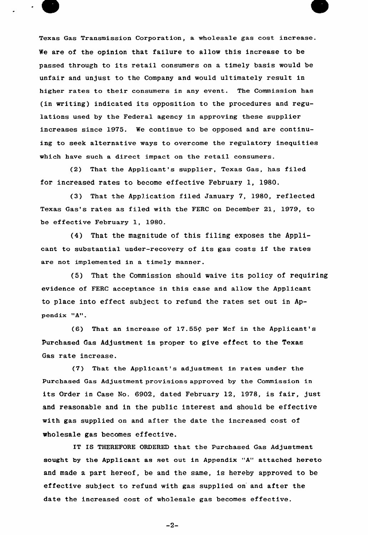Texas Gas Transmission Corporation, a wholesale gas cost increase. We are of the opinion that failure to allow this increase to be passed through to its retail consumers on <sup>a</sup> timely basis would be unfair and unjust to the Company and would ultimately result in higher rates to their consumers in any event. The Commission has (in writing) indicated its opposition to the procedures and regulations used by the Federal agency in approving these supplier increases since 1975. We continue to be opposed and are continuing to seek alternative ways to overcome the regulatory inequities which have such a direct impact on the retail consumers.

(2) That the Applicant's supplier, Texas Gas, has filed for increased rates to become effective February 1, 1980.

(3) That the Application filed January 7, 1980, reflected Texas Gas's rates as filed with the FERC on December 21, 1979, to be effective February 1, 1980.

(4) That the magnitude of. this filing exposes the Applicant to substantial under-recovery of its gas costs if the rates are not implemented in a timely manner.

(5) That the Commission should waive its policy of requiring evidence of FERC acceptance in this case and allow the Applicant to place into effect subject to refund the rates set out in Appendix "A".

(6) That an increase of  $17.55\phi$  per Mcf in the Applicant's purchased Gas Adjustment is proper to give effect to the Texas Gas rate increase.

(7) That the Applicant's adjustment in rates under the Purchased Gas Adjustment provisions approved by the Commission in its Order in Case No. 6902, dated February 12, 1978, is fair, just and reasonable and in the public interest and should be effective with gas supplied on and after the date the increased cost of wholesale gas becomes effective.

IT IS THEREFORE ORDERED that the Purchased Gas Adjustment sought by the Applicant as set out in Appendix "A" attached hereto and made a part hereof, be and the same, is hereby approved to be effective subject to refund with gas supplied on and after the date the increased cost of wholesale gas becomes effective.

 $-2-$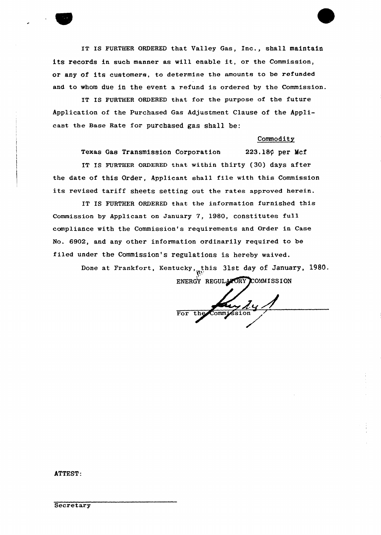IT IS FURTHER ORDERED that Valley Gas, Inc., shall maintain its records in such manner as will enable it, or the Commission, or any of its customers, to determine the amounts to be refunded and to whom due in the event a refund is ordered by the Commission.

IT IS FURTHER ORDERED that for the purpose of the future Application of the Purchased Gas Adjustment Clause of the Applicant the Base Rate for purchased gas shall be:

#### Commodity

Texas Gas Transmission Corporation 223.18¢ per Mcf IT IS FURTHER ORDERED that within thirty (30) days after the date of this Order, Applicant shall file with this Commission its revised tariff sheets setting out the rates approved herein.

IT IS FURTHER ORDERED that the information furnished this Commission by Applicant on January 7, l980, constitutes full compliance with the Commission's requirements and Order in Case No. 6902, and any other information ordinarily required to be filed under the Commission's regulations is hereby waived.

> Done at Frankfort, Kentucky, this 31st day of January, 1980. ENERGY REGULATORY COMMISSION

For the Commission

ATTEST: